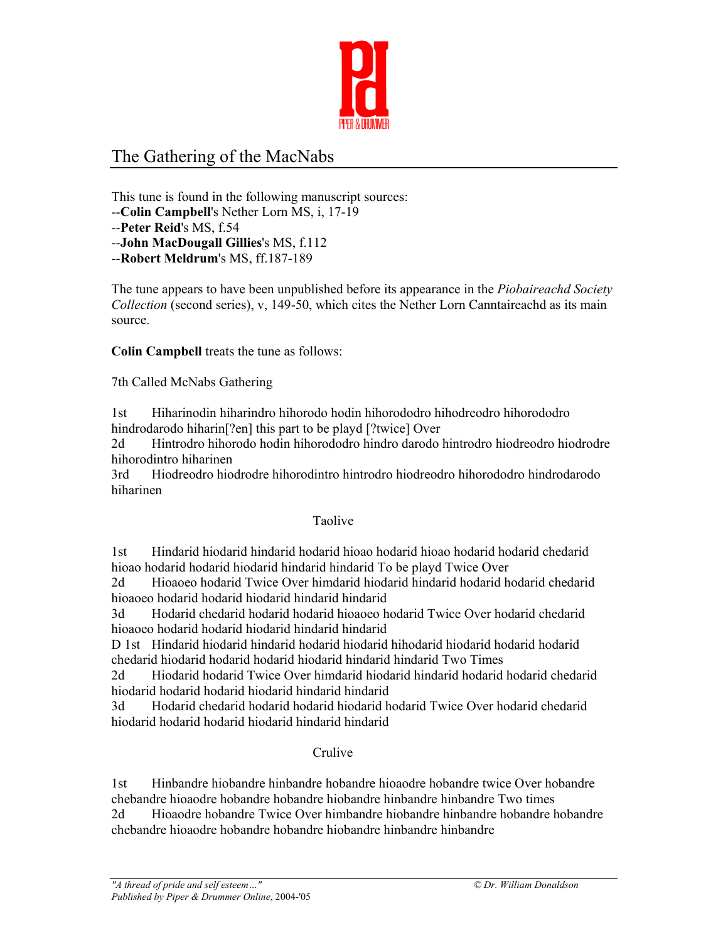

# The Gathering of the MacNabs

This tune is found in the following manuscript sources: --**Colin Campbell**'s Nether Lorn MS, i, 17-19 --**Peter Reid**'s MS, f.54 --**John MacDougall Gillies**'s MS, f.112

--**Robert Meldrum**'s MS, ff.187-189

The tune appears to have been unpublished before its appearance in the *Piobaireachd Society Collection* (second series), v, 149-50, which cites the Nether Lorn Canntaireachd as its main source.

**Colin Campbell** treats the tune as follows:

7th Called McNabs Gathering

1st Hiharinodin hiharindro hihorodo hodin hihorododro hihodreodro hihorododro hindrodarodo hiharin<sup>[?en]</sup> this part to be playd [?twice] Over

2d Hintrodro hihorodo hodin hihorododro hindro darodo hintrodro hiodreodro hiodrodre hihorodintro hiharinen

3rd Hiodreodro hiodrodre hihorodintro hintrodro hiodreodro hihorododro hindrodarodo hiharinen

#### Taolive

1st Hindarid hiodarid hindarid hodarid hioao hodarid hioao hodarid hodarid chedarid hioao hodarid hodarid hiodarid hindarid hindarid To be playd Twice Over

2d Hioaoeo hodarid Twice Over himdarid hiodarid hindarid hodarid hodarid chedarid hioaoeo hodarid hodarid hiodarid hindarid hindarid

3d Hodarid chedarid hodarid hodarid hioaoeo hodarid Twice Over hodarid chedarid hioaoeo hodarid hodarid hiodarid hindarid hindarid

D 1st Hindarid hiodarid hindarid hodarid hiodarid hihodarid hiodarid hodarid hodarid chedarid hiodarid hodarid hodarid hiodarid hindarid hindarid Two Times

2d Hiodarid hodarid Twice Over himdarid hiodarid hindarid hodarid hodarid chedarid hiodarid hodarid hodarid hiodarid hindarid hindarid

3d Hodarid chedarid hodarid hodarid hiodarid hodarid Twice Over hodarid chedarid hiodarid hodarid hodarid hiodarid hindarid hindarid

### Crulive

1st Hinbandre hiobandre hinbandre hobandre hioaodre hobandre twice Over hobandre chebandre hioaodre hobandre hobandre hiobandre hinbandre hinbandre Two times

2d Hioaodre hobandre Twice Over himbandre hiobandre hinbandre hobandre hobandre chebandre hioaodre hobandre hobandre hiobandre hinbandre hinbandre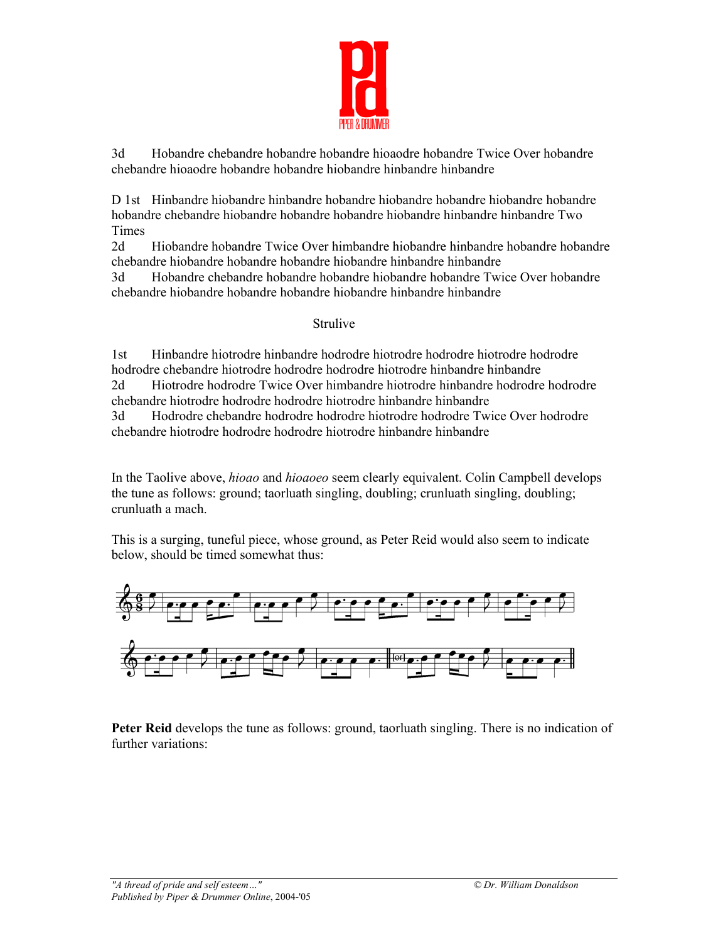

3d Hobandre chebandre hobandre hobandre hioaodre hobandre Twice Over hobandre chebandre hioaodre hobandre hobandre hiobandre hinbandre hinbandre

D 1st Hinbandre hiobandre hinbandre hobandre hiobandre hobandre hiobandre hobandre hobandre chebandre hiobandre hobandre hobandre hiobandre hinbandre hinbandre Two Times

2d Hiobandre hobandre Twice Over himbandre hiobandre hinbandre hobandre hobandre chebandre hiobandre hobandre hobandre hiobandre hinbandre hinbandre

3d Hobandre chebandre hobandre hobandre hiobandre hobandre Twice Over hobandre chebandre hiobandre hobandre hobandre hiobandre hinbandre hinbandre

#### Strulive

1st Hinbandre hiotrodre hinbandre hodrodre hiotrodre hodrodre hiotrodre hodrodre hodrodre chebandre hiotrodre hodrodre hodrodre hiotrodre hinbandre hinbandre 2d Hiotrodre hodrodre Twice Over himbandre hiotrodre hinbandre hodrodre hodrodre chebandre hiotrodre hodrodre hodrodre hiotrodre hinbandre hinbandre 3d Hodrodre chebandre hodrodre hodrodre hiotrodre hodrodre Twice Over hodrodre chebandre hiotrodre hodrodre hodrodre hiotrodre hinbandre hinbandre

In the Taolive above, *hioao* and *hioaoeo* seem clearly equivalent. Colin Campbell develops the tune as follows: ground; taorluath singling, doubling; crunluath singling, doubling; crunluath a mach.

This is a surging, tuneful piece, whose ground, as Peter Reid would also seem to indicate below, should be timed somewhat thus:



**Peter Reid** develops the tune as follows: ground, taorluath singling. There is no indication of further variations: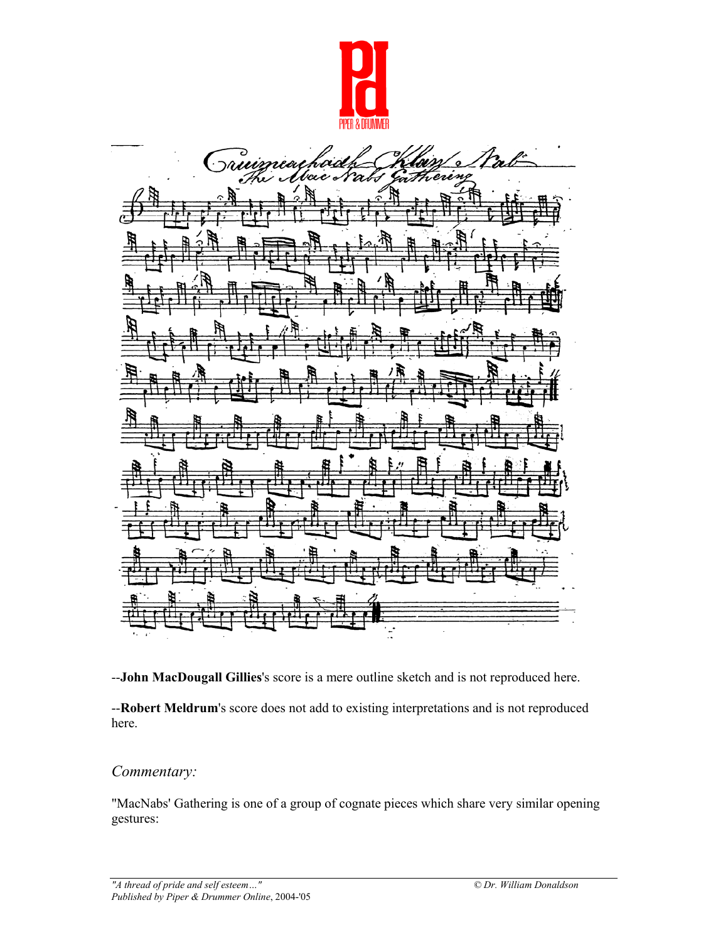



--**John MacDougall Gillies**'s score is a mere outline sketch and is not reproduced here.

--**Robert Meldrum**'s score does not add to existing interpretations and is not reproduced here.

## *Commentary:*

"MacNabs' Gathering is one of a group of cognate pieces which share very similar opening gestures: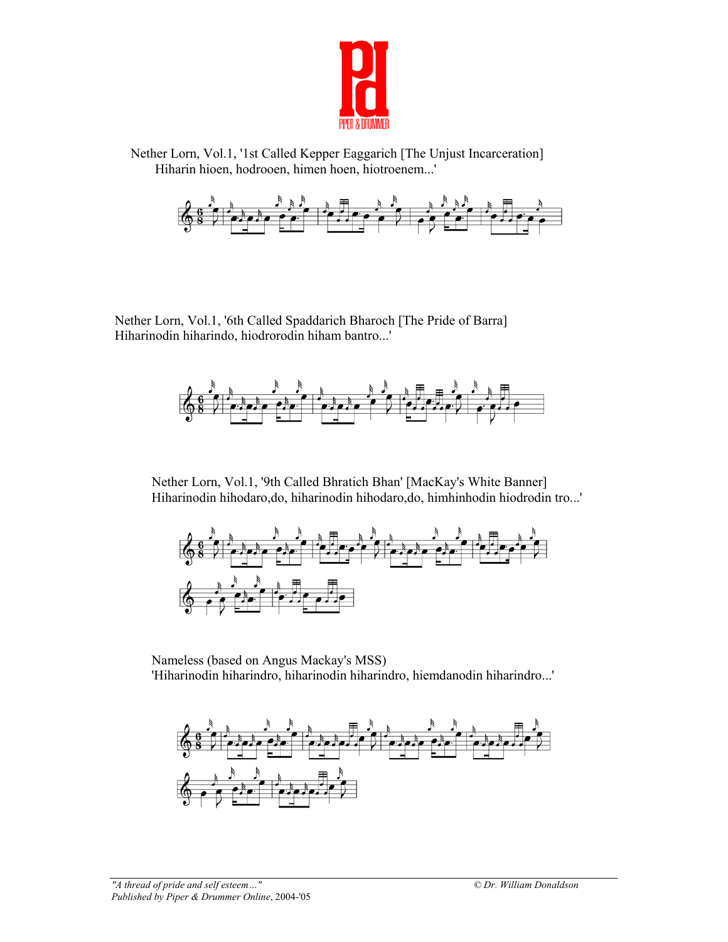

 Nether Lorn, Vol.1, '1st Called Kepper Eaggarich [The Unjust Incarceration] Hiharin hioen, hodrooen, himen hoen, hiotroenem...'



 Nether Lorn, Vol.1, '6th Called Spaddarich Bharoch [The Pride of Barra] Hiharinodin hiharindo, hiodrorodin hiham bantro...'



Nether Lorn, Vol.1, '9th Called Bhratich Bhan' [MacKay's White Banner] Hiharinodin hihodaro,do, hiharinodin hihodaro,do, himhinhodin hiodrodin tro...'



Nameless (based on Angus Mackay's MSS) 'Hiharinodin hiharindro, hiharinodin hiharindro, hiemdanodin hiharindro...'